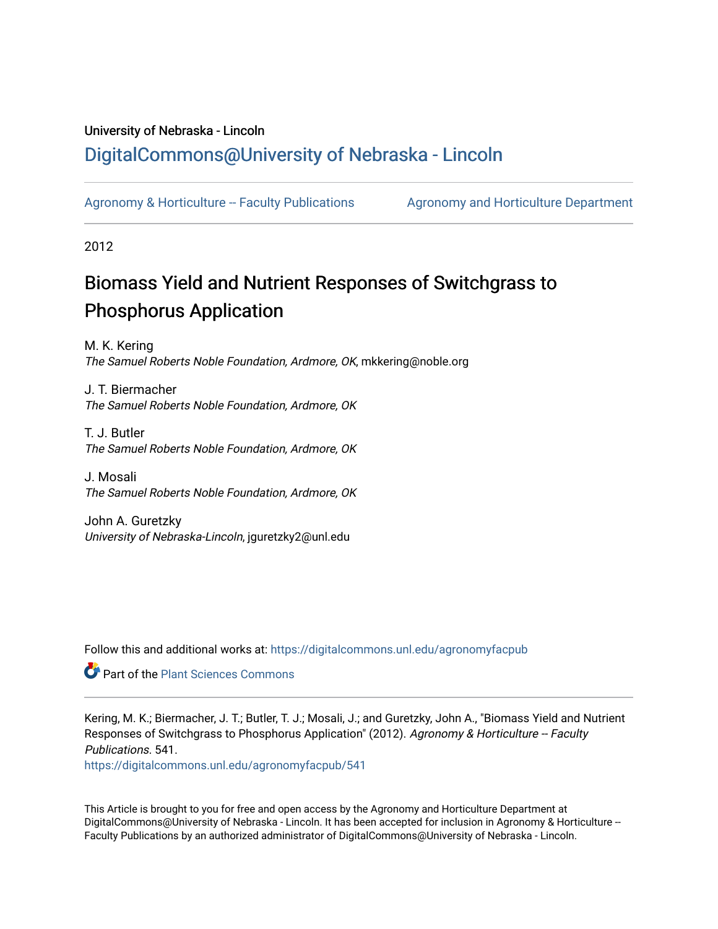# University of Nebraska - Lincoln [DigitalCommons@University of Nebraska - Lincoln](https://digitalcommons.unl.edu/)

[Agronomy & Horticulture -- Faculty Publications](https://digitalcommons.unl.edu/agronomyfacpub) Agronomy and Horticulture Department

2012

# Biomass Yield and Nutrient Responses of Switchgrass to Phosphorus Application

M. K. Kering The Samuel Roberts Noble Foundation, Ardmore, OK, mkkering@noble.org

J. T. Biermacher The Samuel Roberts Noble Foundation, Ardmore, OK

T. J. Butler The Samuel Roberts Noble Foundation, Ardmore, OK

J. Mosali The Samuel Roberts Noble Foundation, Ardmore, OK

John A. Guretzky University of Nebraska-Lincoln, jguretzky2@unl.edu

Follow this and additional works at: [https://digitalcommons.unl.edu/agronomyfacpub](https://digitalcommons.unl.edu/agronomyfacpub?utm_source=digitalcommons.unl.edu%2Fagronomyfacpub%2F541&utm_medium=PDF&utm_campaign=PDFCoverPages)

**Part of the [Plant Sciences Commons](http://network.bepress.com/hgg/discipline/102?utm_source=digitalcommons.unl.edu%2Fagronomyfacpub%2F541&utm_medium=PDF&utm_campaign=PDFCoverPages)** 

Kering, M. K.; Biermacher, J. T.; Butler, T. J.; Mosali, J.; and Guretzky, John A., "Biomass Yield and Nutrient Responses of Switchgrass to Phosphorus Application" (2012). Agronomy & Horticulture -- Faculty Publications. 541.

[https://digitalcommons.unl.edu/agronomyfacpub/541](https://digitalcommons.unl.edu/agronomyfacpub/541?utm_source=digitalcommons.unl.edu%2Fagronomyfacpub%2F541&utm_medium=PDF&utm_campaign=PDFCoverPages)

This Article is brought to you for free and open access by the Agronomy and Horticulture Department at DigitalCommons@University of Nebraska - Lincoln. It has been accepted for inclusion in Agronomy & Horticulture --Faculty Publications by an authorized administrator of DigitalCommons@University of Nebraska - Lincoln.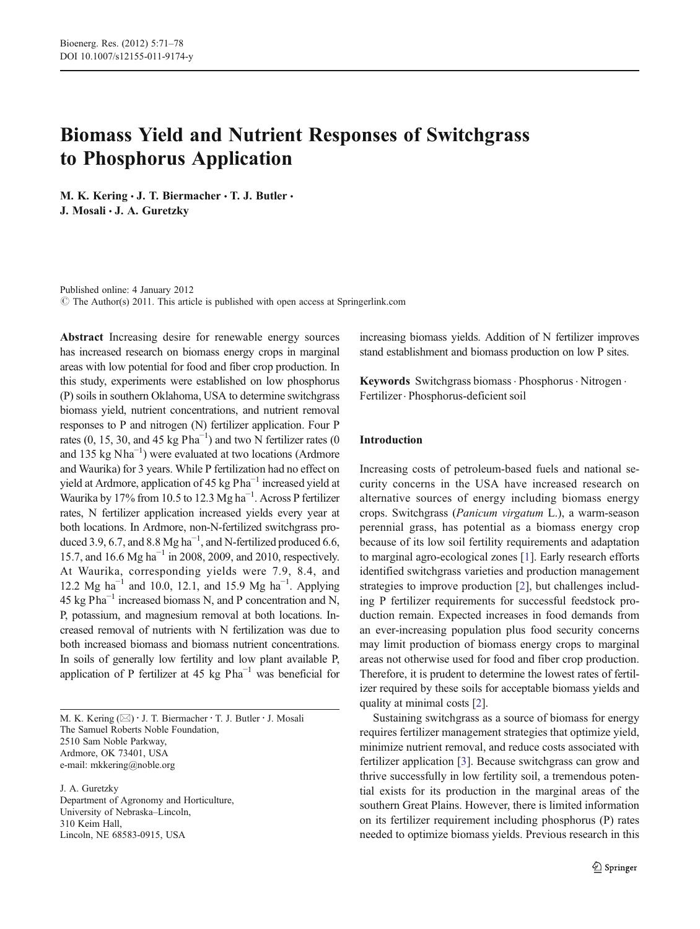# Biomass Yield and Nutrient Responses of Switchgrass to Phosphorus Application

M. K. Kering  $\cdot$  J. T. Biermacher  $\cdot$  T. J. Butler  $\cdot$ J. Mosali · J. A. Guretzky

Published online: 4 January 2012 © The Author(s) 2011. This article is published with open access at Springerlink.com

Abstract Increasing desire for renewable energy sources has increased research on biomass energy crops in marginal areas with low potential for food and fiber crop production. In this study, experiments were established on low phosphorus (P) soils in southern Oklahoma, USA to determine switchgrass biomass yield, nutrient concentrations, and nutrient removal responses to P and nitrogen (N) fertilizer application. Four P rates (0, 15, 30, and 45 kg  $Pha^{-1}$ ) and two N fertilizer rates (0 and 135 kg Nha−<sup>1</sup> ) were evaluated at two locations (Ardmore and Waurika) for 3 years. While P fertilization had no effect on yield at Ardmore, application of 45 kg Pha<sup>-1</sup> increased yield at Waurika by 17% from 10.5 to 12.3 Mg ha−<sup>1</sup> . Across P fertilizer rates, N fertilizer application increased yields every year at both locations. In Ardmore, non-N-fertilized switchgrass produced 3.9, 6.7, and 8.8 Mg ha<sup>-1</sup>, and N-fertilized produced 6.6, 15.7, and 16.6 Mg ha−<sup>1</sup> in 2008, 2009, and 2010, respectively. At Waurika, corresponding yields were 7.9, 8.4, and 12.2 Mg ha<sup>-1</sup> and 10.0, 12.1, and 15.9 Mg ha<sup>-1</sup>. Applying 45 kg  $Pha^{-1}$  increased biomass N, and P concentration and N, P, potassium, and magnesium removal at both locations. Increased removal of nutrients with N fertilization was due to both increased biomass and biomass nutrient concentrations. In soils of generally low fertility and low plant available P, application of P fertilizer at 45 kg  $Pha^{-1}$  was beneficial for

M. K. Kering  $(\boxtimes) \cdot$  J. T. Biermacher  $\cdot$  T. J. Butler  $\cdot$  J. Mosali The Samuel Roberts Noble Foundation, 2510 Sam Noble Parkway, Ardmore, OK 73401, USA e-mail: mkkering@noble.org

J. A. Guretzky Department of Agronomy and Horticulture, University of Nebraska–Lincoln, 310 Keim Hall, Lincoln, NE 68583-0915, USA

increasing biomass yields. Addition of N fertilizer improves stand establishment and biomass production on low P sites.

Keywords Switchgrass biomass · Phosphorus · Nitrogen · Fertilizer. Phosphorus-deficient soil

# Introduction

Increasing costs of petroleum-based fuels and national security concerns in the USA have increased research on alternative sources of energy including biomass energy crops. Switchgrass (Panicum virgatum L.), a warm-season perennial grass, has potential as a biomass energy crop because of its low soil fertility requirements and adaptation to marginal agro-ecological zones [\[1](#page-7-0)]. Early research efforts identified switchgrass varieties and production management strategies to improve production [\[2](#page-7-0)], but challenges including P fertilizer requirements for successful feedstock production remain. Expected increases in food demands from an ever-increasing population plus food security concerns may limit production of biomass energy crops to marginal areas not otherwise used for food and fiber crop production. Therefore, it is prudent to determine the lowest rates of fertilizer required by these soils for acceptable biomass yields and quality at minimal costs [\[2\]](#page-7-0).

Sustaining switchgrass as a source of biomass for energy requires fertilizer management strategies that optimize yield, minimize nutrient removal, and reduce costs associated with fertilizer application [\[3](#page-7-0)]. Because switchgrass can grow and thrive successfully in low fertility soil, a tremendous potential exists for its production in the marginal areas of the southern Great Plains. However, there is limited information on its fertilizer requirement including phosphorus (P) rates needed to optimize biomass yields. Previous research in this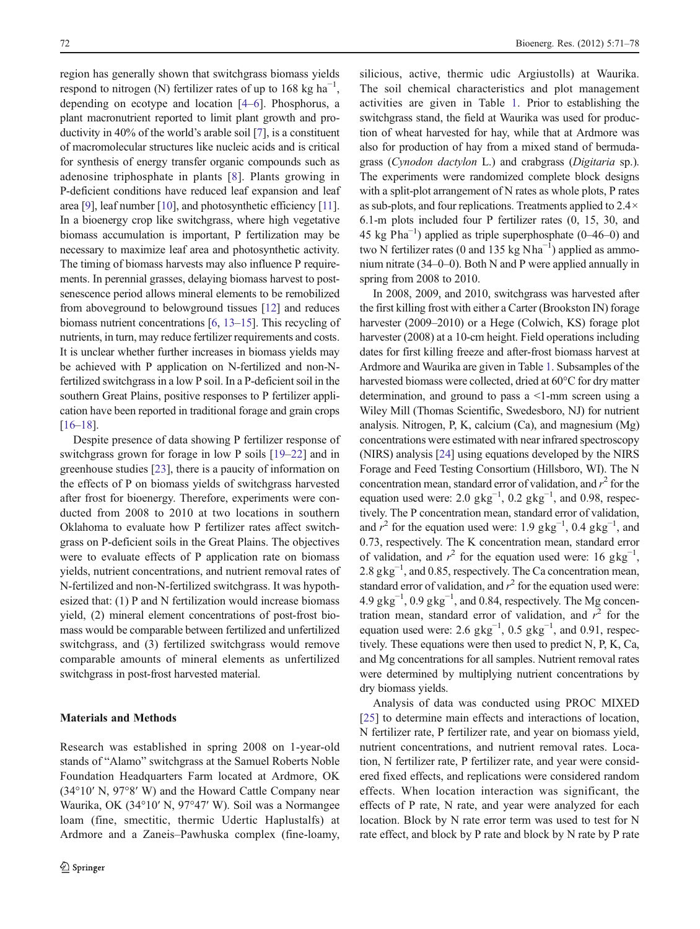region has generally shown that switchgrass biomass yields respond to nitrogen (N) fertilizer rates of up to  $168 \text{ kg ha}^{-1}$ , depending on ecotype and location [[4](#page-7-0)–[6\]](#page-7-0). Phosphorus, a plant macronutrient reported to limit plant growth and productivity in 40% of the world's arable soil [[7\]](#page-7-0), is a constituent of macromolecular structures like nucleic acids and is critical for synthesis of energy transfer organic compounds such as adenosine triphosphate in plants [[8](#page-7-0)]. Plants growing in P-deficient conditions have reduced leaf expansion and leaf area [\[9](#page-7-0)], leaf number [\[10\]](#page-7-0), and photosynthetic efficiency [\[11\]](#page-7-0). In a bioenergy crop like switchgrass, where high vegetative biomass accumulation is important, P fertilization may be necessary to maximize leaf area and photosynthetic activity. The timing of biomass harvests may also influence P requirements. In perennial grasses, delaying biomass harvest to postsenescence period allows mineral elements to be remobilized from aboveground to belowground tissues [[12](#page-7-0)] and reduces biomass nutrient concentrations [\[6,](#page-7-0) [13](#page-7-0)–[15](#page-7-0)]. This recycling of nutrients, in turn, may reduce fertilizer requirements and costs. It is unclear whether further increases in biomass yields may be achieved with P application on N-fertilized and non-Nfertilized switchgrass in a low P soil. In a P-deficient soil in the southern Great Plains, positive responses to P fertilizer application have been reported in traditional forage and grain crops [\[16](#page-7-0)–[18\]](#page-7-0).

Despite presence of data showing P fertilizer response of switchgrass grown for forage in low P soils [[19](#page-7-0)–[22\]](#page-7-0) and in greenhouse studies [[23\]](#page-8-0), there is a paucity of information on the effects of P on biomass yields of switchgrass harvested after frost for bioenergy. Therefore, experiments were conducted from 2008 to 2010 at two locations in southern Oklahoma to evaluate how P fertilizer rates affect switchgrass on P-deficient soils in the Great Plains. The objectives were to evaluate effects of P application rate on biomass yields, nutrient concentrations, and nutrient removal rates of N-fertilized and non-N-fertilized switchgrass. It was hypothesized that: (1) P and N fertilization would increase biomass yield, (2) mineral element concentrations of post-frost biomass would be comparable between fertilized and unfertilized switchgrass, and (3) fertilized switchgrass would remove comparable amounts of mineral elements as unfertilized switchgrass in post-frost harvested material.

#### Materials and Methods

silicious, active, thermic udic Argiustolls) at Waurika. The soil chemical characteristics and plot management activities are given in Table [1](#page-3-0). Prior to establishing the switchgrass stand, the field at Waurika was used for production of wheat harvested for hay, while that at Ardmore was also for production of hay from a mixed stand of bermudagrass (Cynodon dactylon L.) and crabgrass (Digitaria sp.). The experiments were randomized complete block designs with a split-plot arrangement of N rates as whole plots, P rates as sub-plots, and four replications. Treatments applied to 2.4× 6.1-m plots included four P fertilizer rates (0, 15, 30, and 45 kg  $Pha^{-1}$ ) applied as triple superphosphate (0–46–0) and two N fertilizer rates (0 and 135 kg Nha<sup>-1</sup>) applied as ammonium nitrate (34–0–0). Both N and P were applied annually in spring from 2008 to 2010.

In 2008, 2009, and 2010, switchgrass was harvested after the first killing frost with either a Carter (Brookston IN) forage harvester (2009–2010) or a Hege (Colwich, KS) forage plot harvester (2008) at a 10-cm height. Field operations including dates for first killing freeze and after-frost biomass harvest at Ardmore and Waurika are given in Table [1](#page-3-0). Subsamples of the harvested biomass were collected, dried at 60°C for dry matter determination, and ground to pass a <1-mm screen using a Wiley Mill (Thomas Scientific, Swedesboro, NJ) for nutrient analysis. Nitrogen, P, K, calcium (Ca), and magnesium (Mg) concentrations were estimated with near infrared spectroscopy (NIRS) analysis [[24\]](#page-8-0) using equations developed by the NIRS Forage and Feed Testing Consortium (Hillsboro, WI). The N concentration mean, standard error of validation, and  $r^2$  for the equation used were: 2.0  $\text{gkg}^{-1}$ , 0.2  $\text{gkg}^{-1}$ , and 0.98, respectively. The P concentration mean, standard error of validation, and  $r^2$  for the equation used were: 1.9 gkg<sup>-1</sup>, 0.4 gkg<sup>-1</sup>, and 0.73, respectively. The K concentration mean, standard error of validation, and  $r^2$  for the equation used were: 16 gkg<sup>-1</sup>, 2.8 gkg<sup>-1</sup>, and 0.85, respectively. The Ca concentration mean, standard error of validation, and  $r^2$  for the equation used were:  $4.9 \text{ gkg}^{-1}$ ,  $0.9 \text{ gkg}^{-1}$ , and 0.84, respectively. The Mg concentration mean, standard error of validation, and  $r^2$  for the equation used were: 2.6  $\text{gkg}^{-1}$ , 0.5  $\text{gkg}^{-1}$ , and 0.91, respectively. These equations were then used to predict N, P, K, Ca, and Mg concentrations for all samples. Nutrient removal rates were determined by multiplying nutrient concentrations by dry biomass yields.

Analysis of data was conducted using PROC MIXED [\[25](#page-8-0)] to determine main effects and interactions of location, N fertilizer rate, P fertilizer rate, and year on biomass yield, nutrient concentrations, and nutrient removal rates. Location, N fertilizer rate, P fertilizer rate, and year were considered fixed effects, and replications were considered random effects. When location interaction was significant, the effects of P rate, N rate, and year were analyzed for each location. Block by N rate error term was used to test for N rate effect, and block by P rate and block by N rate by P rate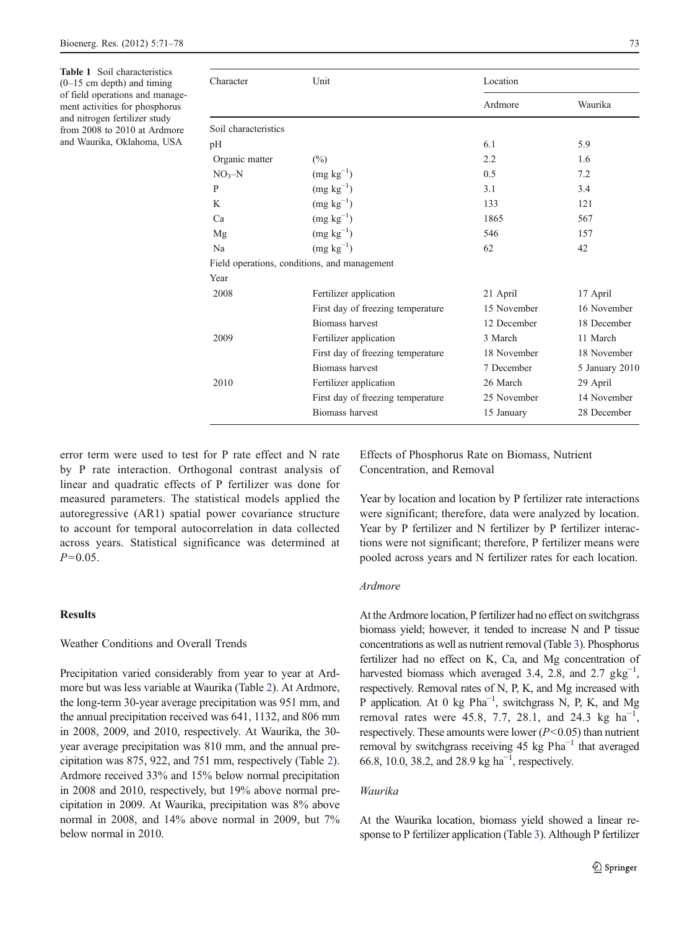<span id="page-3-0"></span>Table 1 Soil characteristics (0–15 cm depth) and timing of field operations and management activities for phosphorus and nitrogen fertilizer study from 2008 to 2010 at Ardmore and Waurika, Oklahoma, USA

| Character            | Unit                                         | Location    |                |  |  |  |  |
|----------------------|----------------------------------------------|-------------|----------------|--|--|--|--|
|                      |                                              | Ardmore     | Waurika        |  |  |  |  |
| Soil characteristics |                                              |             |                |  |  |  |  |
| pН                   |                                              | 6.1         | 5.9            |  |  |  |  |
| Organic matter       | $\binom{0}{0}$                               | 2.2         | 1.6            |  |  |  |  |
| $NO3-N$              | $(mg kg^{-1})$                               | 0.5         | 7.2            |  |  |  |  |
| P                    | $(mg kg^{-1})$                               | 3.1         | 3.4            |  |  |  |  |
| K                    | $(mg kg^{-1})$                               | 133         | 121            |  |  |  |  |
| Ca                   | $(mg kg^{-1})$                               | 1865        | 567            |  |  |  |  |
| Mg                   | $(mg kg^{-1})$                               | 546         | 157            |  |  |  |  |
| N <sub>a</sub>       | $(mg kg^{-1})$                               | 62          | 42             |  |  |  |  |
|                      | Field operations, conditions, and management |             |                |  |  |  |  |
| Year                 |                                              |             |                |  |  |  |  |
| 2008                 | Fertilizer application                       | 21 April    | 17 April       |  |  |  |  |
|                      | First day of freezing temperature            | 15 November | 16 November    |  |  |  |  |
|                      | <b>Biomass harvest</b>                       | 12 December | 18 December    |  |  |  |  |
| 2009                 | Fertilizer application                       | 3 March     | 11 March       |  |  |  |  |
|                      | First day of freezing temperature            | 18 November | 18 November    |  |  |  |  |
|                      | <b>Biomass harvest</b>                       | 7 December  | 5 January 2010 |  |  |  |  |
| 2010                 | Fertilizer application                       | 26 March    | 29 April       |  |  |  |  |
|                      | First day of freezing temperature            | 25 November | 14 November    |  |  |  |  |
|                      | <b>Biomass harvest</b>                       | 15 January  | 28 December    |  |  |  |  |
|                      |                                              |             |                |  |  |  |  |

error term were used to test for P rate effect and N rate by P rate interaction. Orthogonal contrast analysis of linear and quadratic effects of P fertilizer was done for measured parameters. The statistical models applied the autoregressive (AR1) spatial power covariance structure to account for temporal autocorrelation in data collected across years. Statistical significance was determined at  $P=0.05$ .

# **Results**

# Weather Conditions and Overall Trends

Precipitation varied considerably from year to year at Ardmore but was less variable at Waurika (Table [2\)](#page-4-0). At Ardmore, the long-term 30-year average precipitation was 951 mm, and the annual precipitation received was 641, 1132, and 806 mm in 2008, 2009, and 2010, respectively. At Waurika, the 30 year average precipitation was 810 mm, and the annual precipitation was 875, 922, and 751 mm, respectively (Table [2\)](#page-4-0). Ardmore received 33% and 15% below normal precipitation in 2008 and 2010, respectively, but 19% above normal precipitation in 2009. At Waurika, precipitation was 8% above normal in 2008, and 14% above normal in 2009, but 7% below normal in 2010.

Effects of Phosphorus Rate on Biomass, Nutrient Concentration, and Removal

Year by location and location by P fertilizer rate interactions were significant; therefore, data were analyzed by location. Year by P fertilizer and N fertilizer by P fertilizer interactions were not significant; therefore, P fertilizer means were pooled across years and N fertilizer rates for each location.

#### Ardmore

At the Ardmore location, P fertilizer had no effect on switchgrass biomass yield; however, it tended to increase N and P tissue concentrations as well as nutrient removal (Table [3](#page-5-0)). Phosphorus fertilizer had no effect on K, Ca, and Mg concentration of harvested biomass which averaged 3.4, 2.8, and 2.7  $g\text{kg}^{-1}$ , respectively. Removal rates of N, P, K, and Mg increased with P application. At 0 kg Pha<sup>-1</sup>, switchgrass N, P, K, and Mg removal rates were 45.8, 7.7, 28.1, and 24.3 kg  $ha^{-1}$ , respectively. These amounts were lower  $(P<0.05)$  than nutrient removal by switchgrass receiving 45 kg  $Pha^{-1}$  that averaged 66.8, 10.0, 38.2, and 28.9 kg ha−<sup>1</sup> , respectively.

# Waurika

At the Waurika location, biomass yield showed a linear response to P fertilizer application (Table [3](#page-5-0)). Although P fertilizer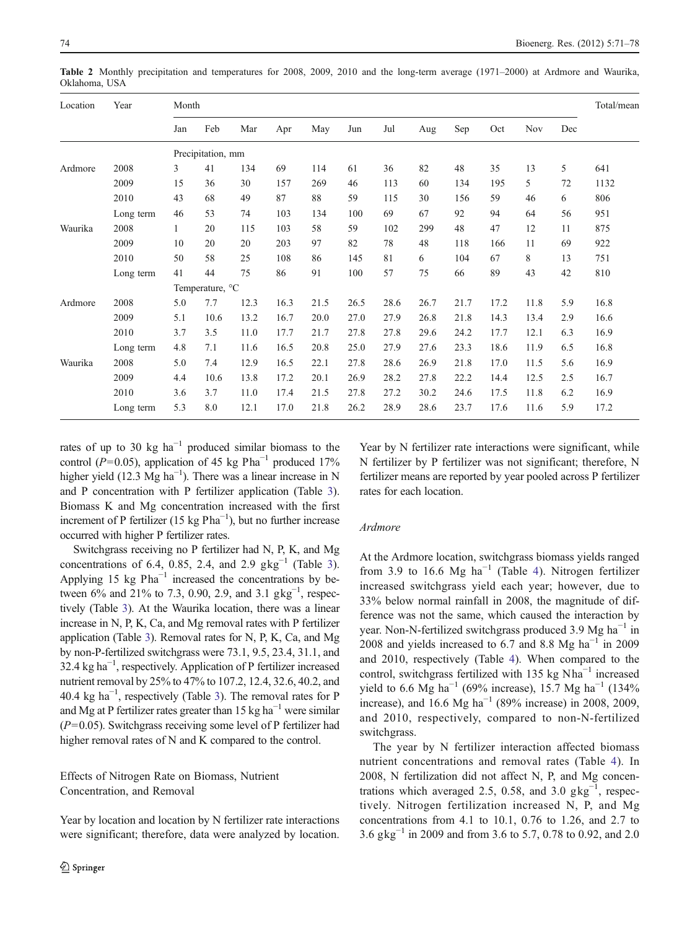| Location | Year      | Month        |                   |      |      |      |      |      |      |      |      | Total/mean |     |      |
|----------|-----------|--------------|-------------------|------|------|------|------|------|------|------|------|------------|-----|------|
|          |           | Jan          | Feb               | Mar  | Apr  | May  | Jun  | Jul  | Aug  | Sep  | Oct  | <b>Nov</b> | Dec |      |
|          |           |              | Precipitation, mm |      |      |      |      |      |      |      |      |            |     |      |
| Ardmore  | 2008      | 3            | 41                | 134  | 69   | 114  | 61   | 36   | 82   | 48   | 35   | 13         | 5   | 641  |
|          | 2009      | 15           | 36                | 30   | 157  | 269  | 46   | 113  | 60   | 134  | 195  | 5          | 72  | 1132 |
|          | 2010      | 43           | 68                | 49   | 87   | 88   | 59   | 115  | 30   | 156  | 59   | 46         | 6   | 806  |
|          | Long term | 46           | 53                | 74   | 103  | 134  | 100  | 69   | 67   | 92   | 94   | 64         | 56  | 951  |
| Waurika  | 2008      | $\mathbf{1}$ | 20                | 115  | 103  | 58   | 59   | 102  | 299  | 48   | 47   | 12         | 11  | 875  |
|          | 2009      | 10           | 20                | 20   | 203  | 97   | 82   | 78   | 48   | 118  | 166  | 11         | 69  | 922  |
|          | 2010      | 50           | 58                | 25   | 108  | 86   | 145  | 81   | 6    | 104  | 67   | 8          | 13  | 751  |
|          | Long term | 41           | 44                | 75   | 86   | 91   | 100  | 57   | 75   | 66   | 89   | 43         | 42  | 810  |
|          |           |              | Temperature, °C   |      |      |      |      |      |      |      |      |            |     |      |
| Ardmore  | 2008      | 5.0          | 7.7               | 12.3 | 16.3 | 21.5 | 26.5 | 28.6 | 26.7 | 21.7 | 17.2 | 11.8       | 5.9 | 16.8 |
|          | 2009      | 5.1          | 10.6              | 13.2 | 16.7 | 20.0 | 27.0 | 27.9 | 26.8 | 21.8 | 14.3 | 13.4       | 2.9 | 16.6 |
|          | 2010      | 3.7          | 3.5               | 11.0 | 17.7 | 21.7 | 27.8 | 27.8 | 29.6 | 24.2 | 17.7 | 12.1       | 6.3 | 16.9 |
|          | Long term | 4.8          | 7.1               | 11.6 | 16.5 | 20.8 | 25.0 | 27.9 | 27.6 | 23.3 | 18.6 | 11.9       | 6.5 | 16.8 |
| Waurika  | 2008      | 5.0          | 7.4               | 12.9 | 16.5 | 22.1 | 27.8 | 28.6 | 26.9 | 21.8 | 17.0 | 11.5       | 5.6 | 16.9 |
|          | 2009      | 4.4          | 10.6              | 13.8 | 17.2 | 20.1 | 26.9 | 28.2 | 27.8 | 22.2 | 14.4 | 12.5       | 2.5 | 16.7 |
|          | 2010      | 3.6          | 3.7               | 11.0 | 17.4 | 21.5 | 27.8 | 27.2 | 30.2 | 24.6 | 17.5 | 11.8       | 6.2 | 16.9 |
|          | Long term | 5.3          | 8.0               | 12.1 | 17.0 | 21.8 | 26.2 | 28.9 | 28.6 | 23.7 | 17.6 | 11.6       | 5.9 | 17.2 |

<span id="page-4-0"></span>Table 2 Monthly precipitation and temperatures for 2008, 2009, 2010 and the long-term average (1971–2000) at Ardmore and Waurika, Oklahoma, USA

rates of up to 30 kg  $ha^{-1}$  produced similar biomass to the control (P=0.05), application of 45 kg Pha<sup>-1</sup> produced 17% higher yield (12.3 Mg ha<sup>-1</sup>). There was a linear increase in N and P concentration with P fertilizer application (Table [3\)](#page-5-0). Biomass K and Mg concentration increased with the first increment of P fertilizer (15 kg Pha<sup>-1</sup>), but no further increase occurred with higher P fertilizer rates.

Switchgrass receiving no P fertilizer had N, P, K, and Mg concentrations of 6.4, 0.85, 2.4, and 2.9  $g\text{kg}^{-1}$  (Table [3](#page-5-0)). Applying 15 kg  $Pha^{-1}$  increased the concentrations by between 6% and 21% to 7.3, 0.90, 2.9, and 3.1  $\text{gkg}^{-1}$ , respectively (Table [3\)](#page-5-0). At the Waurika location, there was a linear increase in N, P, K, Ca, and Mg removal rates with P fertilizer application (Table [3](#page-5-0)). Removal rates for N, P, K, Ca, and Mg by non-P-fertilized switchgrass were 73.1, 9.5, 23.4, 31.1, and 32.4 kg ha<sup>-1</sup>, respectively. Application of P fertilizer increased nutrient removal by 25% to 47% to 107.2, 12.4, 32.6, 40.2, and 40.4 kg  $ha^{-1}$ , respectively (Table [3](#page-5-0)). The removal rates for P and Mg at P fertilizer rates greater than 15 kg ha<sup> $-1$ </sup> were similar  $(P=0.05)$ . Switchgrass receiving some level of P fertilizer had higher removal rates of N and K compared to the control.

Effects of Nitrogen Rate on Biomass, Nutrient Concentration, and Removal

Year by location and location by N fertilizer rate interactions were significant; therefore, data were analyzed by location.

Year by N fertilizer rate interactions were significant, while N fertilizer by P fertilizer was not significant; therefore, N fertilizer means are reported by year pooled across P fertilizer rates for each location.

# Ardmore

At the Ardmore location, switchgrass biomass yields ranged from 3.9 to 16.6 Mg ha<sup> $-1$ </sup> (Table [4\)](#page-5-0). Nitrogen fertilizer increased switchgrass yield each year; however, due to 33% below normal rainfall in 2008, the magnitude of difference was not the same, which caused the interaction by year. Non-N-fertilized switchgrass produced 3.9 Mg ha−<sup>1</sup> in 2008 and yields increased to 6.7 and 8.8 Mg ha<sup> $-1$ </sup> in 2009 and 2010, respectively (Table [4](#page-5-0)). When compared to the control, switchgrass fertilized with 135 kg Nha−<sup>1</sup> increased yield to 6.6 Mg ha<sup>-1</sup> (69% increase), 15.7 Mg ha<sup>-1</sup> (134% increase), and 16.6 Mg ha<sup>-1</sup> (89% increase) in 2008, 2009, and 2010, respectively, compared to non-N-fertilized switchgrass.

The year by N fertilizer interaction affected biomass nutrient concentrations and removal rates (Table [4](#page-5-0)). In 2008, N fertilization did not affect N, P, and Mg concentrations which averaged 2.5, 0.58, and 3.0  $\text{gkg}^{-1}$ , respectively. Nitrogen fertilization increased N, P, and Mg concentrations from 4.1 to 10.1, 0.76 to 1.26, and 2.7 to 3.6 gkg−<sup>1</sup> in 2009 and from 3.6 to 5.7, 0.78 to 0.92, and 2.0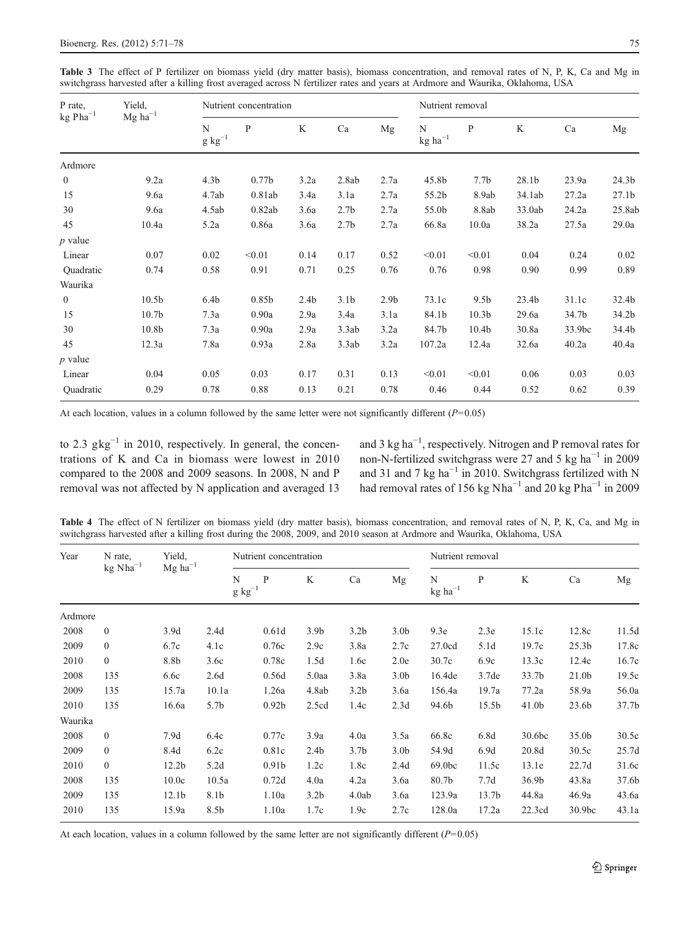<span id="page-5-0"></span>Table 3 The effect of P fertilizer on biomass yield (dry matter basis), biomass concentration, and removal rates of N, P, K, Ca and Mg in switchgrass harvested after a killing frost averaged across N fertilizer rates and years at Ardmore and Waurika, Oklahoma, USA

| P rate,<br>$\rm kg\ Pha^{-1}$ | Yield,                |                        | Nutrient concentration |                  |                  |                  |                       | Nutrient removal  |        |        |                   |  |  |
|-------------------------------|-----------------------|------------------------|------------------------|------------------|------------------|------------------|-----------------------|-------------------|--------|--------|-------------------|--|--|
|                               | $Mg$ ha <sup>-1</sup> | N<br>$\rm g~{kg}^{-1}$ | P                      | K                | Ca               | Mg               | N<br>$\rm kg~ha^{-1}$ | P                 | K      | Ca     | Mg                |  |  |
| Ardmore                       |                       |                        |                        |                  |                  |                  |                       |                   |        |        |                   |  |  |
| $\boldsymbol{0}$              | 9.2a                  | 4.3 <sub>b</sub>       | 0.77 <sub>b</sub>      | 3.2a             | 2.8ab            | 2.7a             | 45.8b                 | 7.7 <sub>b</sub>  | 28.1b  | 23.9a  | 24.3b             |  |  |
| 15                            | 9.6a                  | 4.7ab                  | 0.81ab                 | 3.4a             | 3.1a             | 2.7a             | 55.2b                 | 8.9ab             | 34.1ab | 27.2a  | 27.1 <sub>b</sub> |  |  |
| 30                            | 9.6a                  | 4.5ab                  | 0.82ab                 | 3.6a             | 2.7 <sub>b</sub> | 2.7a             | 55.0b                 | 8.8ab             | 33.0ab | 24.2a  | 25.8ab            |  |  |
| 45                            | 10.4a                 | 5.2a                   | 0.86a                  | 3.6a             | 2.7 <sub>b</sub> | 2.7a             | 66.8a                 | 10.0a             | 38.2a  | 27.5a  | 29.0a             |  |  |
| $p$ value                     |                       |                        |                        |                  |                  |                  |                       |                   |        |        |                   |  |  |
| Linear                        | 0.07                  | 0.02                   | < 0.01                 | 0.14             | 0.17             | 0.52             | < 0.01                | < 0.01            | 0.04   | 0.24   | 0.02              |  |  |
| Quadratic                     | 0.74                  | 0.58                   | 0.91                   | 0.71             | 0.25             | 0.76             | 0.76                  | 0.98              | 0.90   | 0.99   | 0.89              |  |  |
| Waurika                       |                       |                        |                        |                  |                  |                  |                       |                   |        |        |                   |  |  |
| $\mathbf{0}$                  | 10.5 <sub>b</sub>     | 6.4 <sub>b</sub>       | 0.85b                  | 2.4 <sub>b</sub> | 3.1 <sub>b</sub> | 2.9 <sub>b</sub> | 73.1c                 | 9.5 <sub>b</sub>  | 23.4b  | 31.1c  | 32.4b             |  |  |
| 15                            | 10.7 <sub>b</sub>     | 7.3a                   | 0.90a                  | 2.9a             | 3.4a             | 3.1a             | 84.1b                 | 10.3 <sub>b</sub> | 29.6a  | 34.7b  | 34.2b             |  |  |
| 30                            | 10.8b                 | 7.3a                   | 0.90a                  | 2.9a             | 3.3ab            | 3.2a             | 84.7b                 | 10.4 <sub>b</sub> | 30.8a  | 33.9bc | 34.4b             |  |  |
| 45                            | 12.3a                 | 7.8a                   | 0.93a                  | 2.8a             | 3.3ab            | 3.2a             | 107.2a                | 12.4a             | 32.6a  | 40.2a  | 40.4a             |  |  |
| $p$ value                     |                       |                        |                        |                  |                  |                  |                       |                   |        |        |                   |  |  |
| Linear                        | 0.04                  | 0.05                   | 0.03                   | 0.17             | 0.31             | 0.13             | < 0.01                | < 0.01            | 0.06   | 0.03   | 0.03              |  |  |
| Quadratic                     | 0.29                  | 0.78                   | 0.88                   | 0.13             | 0.21             | 0.78             | 0.46                  | 0.44              | 0.52   | 0.62   | 0.39              |  |  |

At each location, values in a column followed by the same letter were not significantly different  $(P=0.05)$ 

to 2.3  $g\text{kg}^{-1}$  in 2010, respectively. In general, the concentrations of K and Ca in biomass were lowest in 2010 compared to the 2008 and 2009 seasons. In 2008, N and P removal was not affected by N application and averaged 13

and 3 kg ha−<sup>1</sup> , respectively. Nitrogen and P removal rates for non-N-fertilized switchgrass were 27 and 5 kg ha−<sup>1</sup> in 2009 and 31 and 7 kg ha<sup> $-1$ </sup> in 2010. Switchgrass fertilized with N had removal rates of 156 kg Nha<sup>-1</sup> and 20 kg Pha<sup>-1</sup> in 2009

Table 4 The effect of N fertilizer on biomass yield (dry matter basis), biomass concentration, and removal rates of N, P, K, Ca, and Mg in switchgrass harvested after a killing frost during the 2008, 2009, and 2010 season at Ardmore and Waurika, Oklahoma, USA

| Year    | N rate,              | Yield,            |                  | Nutrient concentration |                  |                  |                  | Nutrient removal    |                   |                   |                    |       |  |
|---------|----------------------|-------------------|------------------|------------------------|------------------|------------------|------------------|---------------------|-------------------|-------------------|--------------------|-------|--|
|         | $\text{kg Nha}^{-1}$ | $\rm Mg~ha^{-1}$  |                  | N<br>P<br>$g kg^{-1}$  | K                | Ca               | Mg               | N<br>$kg$ $ha^{-1}$ | P                 | K                 | Ca                 | Mg    |  |
| Ardmore |                      |                   |                  |                        |                  |                  |                  |                     |                   |                   |                    |       |  |
| 2008    | $\mathbf{0}$         | 3.9d              | 2.4d             | 0.61d                  | 3.9 <sub>b</sub> | 3.2 <sub>b</sub> | 3.0 <sub>b</sub> | 9.3e                | 2.3e              | 15.1c             | 12.8c              | 11.5d |  |
| 2009    | $\mathbf{0}$         | 6.7c              | 4.1c             | 0.76c                  | 2.9c             | 3.8a             | 2.7c             | 27.0cd              | 5.1d              | 19.7c             | 25.3 <sub>b</sub>  | 17.8c |  |
| 2010    | $\mathbf{0}$         | 8.8b              | 3.6c             | 0.78c                  | 1.5d             | 1.6c             | 2.0e             | 30.7c               | 6.9c              | 13.3c             | 12.4c              | 16.7c |  |
| 2008    | 135                  | 6.6c              | 2.6d             | 0.56d                  | $5.0$ aa         | 3.8a             | 3.0 <sub>b</sub> | 16.4de              | 3.7de             | 33.7 <sub>b</sub> | 21.0 <sub>b</sub>  | 19.5c |  |
| 2009    | 135                  | 15.7a             | 10.1a            | 1.26a                  | 4.8ab            | 3.2 <sub>b</sub> | 3.6a             | 156.4a              | 19.7a             | 77.2a             | 58.9a              | 56.0a |  |
| 2010    | 135                  | 16.6a             | 5.7 <sub>b</sub> | 0.92 <sub>b</sub>      | 2.5cd            | 1.4c             | 2.3d             | 94.6b               | 15.5 <sub>b</sub> | 41.0 <sub>b</sub> | 23.6 <sub>b</sub>  | 37.7b |  |
| Waurika |                      |                   |                  |                        |                  |                  |                  |                     |                   |                   |                    |       |  |
| 2008    | $\mathbf{0}$         | 7.9d              | 6.4c             | 0.77c                  | 3.9a             | 4.0a             | 3.5a             | 66.8c               | 6.8d              | 30.6bc            | 35.0b              | 30.5c |  |
| 2009    | $\mathbf{0}$         | 8.4d              | 6.2c             | 0.81c                  | 2.4 <sub>b</sub> | 3.7 <sub>b</sub> | 3.0 <sub>b</sub> | 54.9d               | 6.9d              | 20.8d             | 30.5c              | 25.7d |  |
| 2010    | $\mathbf{0}$         | 12.2 <sub>b</sub> | 5.2d             | 0.91 <sub>b</sub>      | 1.2c             | 1.8c             | 2.4d             | 69.0bc              | 11.5c             | 13.1e             | 22.7d              | 31.6c |  |
| 2008    | 135                  | 10.0c             | 10.5a            | 0.72d                  | 4.0a             | 4.2a             | 3.6a             | 80.7b               | 7.7d              | 36.9 <sub>b</sub> | 43.8a              | 37.6b |  |
| 2009    | 135                  | 12.1 <sub>b</sub> | 8.1b             | 1.10a                  | 3.2 <sub>b</sub> | 4.0ab            | 3.6a             | 123.9a              | 13.7 <sub>b</sub> | 44.8a             | 46.9a              | 43.6a |  |
| 2010    | 135                  | 15.9a             | 8.5b             | 1.10a                  | 1.7c             | 1.9c             | 2.7c             | 128.0a              | 17.2a             | 22.3cd            | 30.9 <sub>bc</sub> | 43.1a |  |

At each location, values in a column followed by the same letter are not significantly different  $(P=0.05)$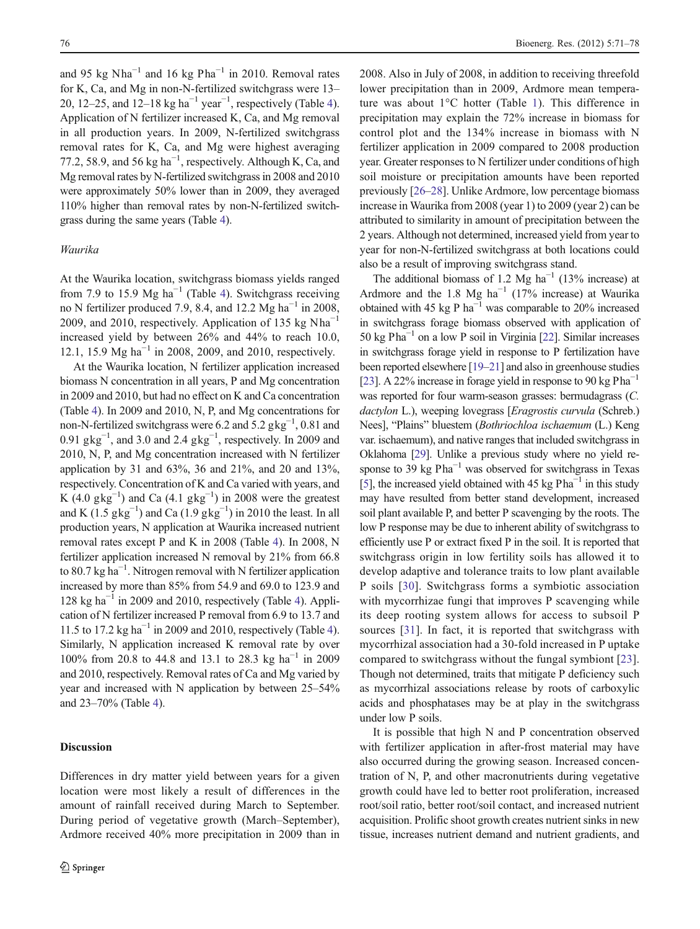and 95 kg Nha<sup>-1</sup> and 16 kg Pha<sup>-1</sup> in 2010. Removal rates for K, Ca, and Mg in non-N-fertilized switchgrass were 13– 20, 12–25, and 12–18 kg ha<sup>-1</sup> year<sup>-1</sup>, respectively (Table [4](#page-5-0)). Application of N fertilizer increased K, Ca, and Mg removal in all production years. In 2009, N-fertilized switchgrass removal rates for K, Ca, and Mg were highest averaging 77.2, 58.9, and 56 kg  $ha^{-1}$ , respectively. Although K, Ca, and Mg removal rates by N-fertilized switchgrass in 2008 and 2010 were approximately 50% lower than in 2009, they averaged 110% higher than removal rates by non-N-fertilized switchgrass during the same years (Table [4](#page-5-0)).

#### Waurika

At the Waurika location, switchgrass biomass yields ranged from 7.9 to 15.9 Mg ha<sup>-1</sup> (Table [4](#page-5-0)). Switchgrass receiving no N fertilizer produced 7.9, 8.4, and 12.2 Mg ha<sup> $-1$ </sup> in 2008, 2009, and 2010, respectively. Application of 135 kg Nha<sup>-1</sup> increased yield by between 26% and 44% to reach 10.0, 12.1, 15.9 Mg ha<sup>-1</sup> in 2008, 2009, and 2010, respectively.

At the Waurika location, N fertilizer application increased biomass N concentration in all years, P and Mg concentration in 2009 and 2010, but had no effect on K and Ca concentration (Table [4\)](#page-5-0). In 2009 and 2010, N, P, and Mg concentrations for non-N-fertilized switchgrass were 6.2 and  $5.2$  gkg<sup>-1</sup>, 0.81 and 0.91  $g\text{kg}^{-1}$ , and 3.0 and 2.4  $g\text{kg}^{-1}$ , respectively. In 2009 and 2010, N, P, and Mg concentration increased with N fertilizer application by 31 and 63%, 36 and 21%, and 20 and 13%, respectively. Concentration of K and Ca varied with years, and K  $(4.0 \text{ gkg}^{-1})$  and Ca  $(4.1 \text{ gkg}^{-1})$  in 2008 were the greatest and K (1.5  $g\text{kg}^{-1}$ ) and Ca (1.9  $g\text{kg}^{-1}$ ) in 2010 the least. In all production years, N application at Waurika increased nutrient removal rates except P and K in 2008 (Table [4](#page-5-0)). In 2008, N fertilizer application increased N removal by 21% from 66.8 to 80.7 kg ha−<sup>1</sup> . Nitrogen removal with N fertilizer application increased by more than 85% from 54.9 and 69.0 to 123.9 and  $128 \text{ kg ha}^{-1}$  in 2009 and 2010, respectively (Table [4\)](#page-5-0). Application of N fertilizer increased P removal from 6.9 to 13.7 and 11.5 to 17.2 kg ha<sup> $-1$ </sup> in 2009 and 2010, respectively (Table [4\)](#page-5-0). Similarly, N application increased K removal rate by over 100% from 20.8 to 44.8 and 13.1 to 28.3 kg ha−<sup>1</sup> in 2009 and 2010, respectively. Removal rates of Ca and Mg varied by year and increased with N application by between 25–54% and 23–70% (Table [4](#page-5-0)).

# Discussion

Differences in dry matter yield between years for a given location were most likely a result of differences in the amount of rainfall received during March to September. During period of vegetative growth (March–September), Ardmore received 40% more precipitation in 2009 than in 2008. Also in July of 2008, in addition to receiving threefold lower precipitation than in 2009, Ardmore mean temperature was about 1°C hotter (Table [1\)](#page-3-0). This difference in precipitation may explain the 72% increase in biomass for control plot and the 134% increase in biomass with N fertilizer application in 2009 compared to 2008 production year. Greater responses to N fertilizer under conditions of high soil moisture or precipitation amounts have been reported previously [\[26](#page-8-0)–[28\]](#page-8-0). Unlike Ardmore, low percentage biomass increase in Waurika from 2008 (year 1) to 2009 (year 2) can be attributed to similarity in amount of precipitation between the 2 years. Although not determined, increased yield from year to year for non-N-fertilized switchgrass at both locations could also be a result of improving switchgrass stand.

The additional biomass of 1.2 Mg ha<sup>-1</sup> (13% increase) at Ardmore and the 1.8 Mg ha<sup>-1</sup> (17% increase) at Waurika obtained with 45 kg P ha−<sup>1</sup> was comparable to 20% increased in switchgrass forage biomass observed with application of 50 kg Pha−<sup>1</sup> on a low P soil in Virginia [\[22\]](#page-7-0). Similar increases in switchgrass forage yield in response to P fertilization have been reported elsewhere [\[19](#page-7-0)–[21\]](#page-7-0) and also in greenhouse studies [\[23\]](#page-8-0). A 22% increase in forage yield in response to 90 kg Pha<sup>-1</sup> was reported for four warm-season grasses: bermudagrass (C. dactylon L.), weeping lovegrass [*Eragrostis curvula* (Schreb.) Nees], "Plains" bluestem (Bothriochloa ischaemum (L.) Keng var. ischaemum), and native ranges that included switchgrass in Oklahoma [\[29](#page-8-0)]. Unlike a previous study where no yield response to 39 kg  $Pha^{-1}$  was observed for switchgrass in Texas [\[5\]](#page-7-0), the increased yield obtained with 45 kg  $Pha^{-1}$  in this study may have resulted from better stand development, increased soil plant available P, and better P scavenging by the roots. The low P response may be due to inherent ability of switchgrass to efficiently use P or extract fixed P in the soil. It is reported that switchgrass origin in low fertility soils has allowed it to develop adaptive and tolerance traits to low plant available P soils [[30\]](#page-8-0). Switchgrass forms a symbiotic association with mycorrhizae fungi that improves P scavenging while its deep rooting system allows for access to subsoil P sources [[31\]](#page-8-0). In fact, it is reported that switchgrass with mycorrhizal association had a 30-fold increased in P uptake compared to switchgrass without the fungal symbiont [\[23](#page-8-0)]. Though not determined, traits that mitigate P deficiency such as mycorrhizal associations release by roots of carboxylic acids and phosphatases may be at play in the switchgrass under low P soils.

It is possible that high N and P concentration observed with fertilizer application in after-frost material may have also occurred during the growing season. Increased concentration of N, P, and other macronutrients during vegetative growth could have led to better root proliferation, increased root/soil ratio, better root/soil contact, and increased nutrient acquisition. Prolific shoot growth creates nutrient sinks in new tissue, increases nutrient demand and nutrient gradients, and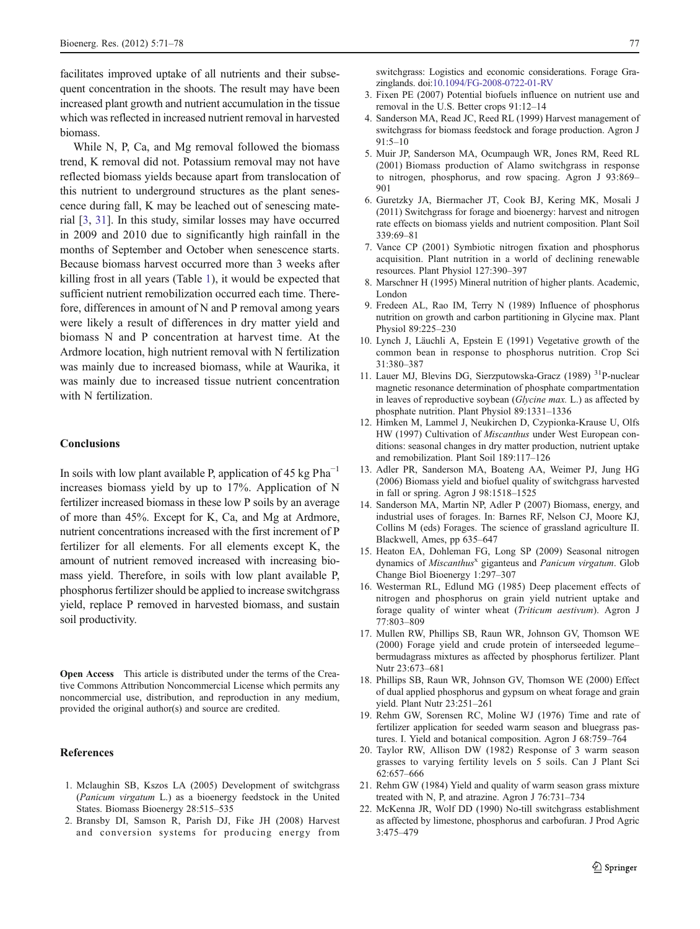<span id="page-7-0"></span>facilitates improved uptake of all nutrients and their subsequent concentration in the shoots. The result may have been increased plant growth and nutrient accumulation in the tissue which was reflected in increased nutrient removal in harvested biomass.

While N, P, Ca, and Mg removal followed the biomass trend, K removal did not. Potassium removal may not have reflected biomass yields because apart from translocation of this nutrient to underground structures as the plant senescence during fall, K may be leached out of senescing material [3, [31](#page-8-0)]. In this study, similar losses may have occurred in 2009 and 2010 due to significantly high rainfall in the months of September and October when senescence starts. Because biomass harvest occurred more than 3 weeks after killing frost in all years (Table [1\)](#page-3-0), it would be expected that sufficient nutrient remobilization occurred each time. Therefore, differences in amount of N and P removal among years were likely a result of differences in dry matter yield and biomass N and P concentration at harvest time. At the Ardmore location, high nutrient removal with N fertilization was mainly due to increased biomass, while at Waurika, it was mainly due to increased tissue nutrient concentration with N fertilization.

### Conclusions

In soils with low plant available P, application of 45 kg  $Pha^{-1}$ increases biomass yield by up to 17%. Application of N fertilizer increased biomass in these low P soils by an average of more than 45%. Except for K, Ca, and Mg at Ardmore, nutrient concentrations increased with the first increment of P fertilizer for all elements. For all elements except K, the amount of nutrient removed increased with increasing biomass yield. Therefore, in soils with low plant available P, phosphorus fertilizer should be applied to increase switchgrass yield, replace P removed in harvested biomass, and sustain soil productivity.

Open Access This article is distributed under the terms of the Creative Commons Attribution Noncommercial License which permits any noncommercial use, distribution, and reproduction in any medium, provided the original author(s) and source are credited.

#### **References**

- 1. Mclaughin SB, Kszos LA (2005) Development of switchgrass (Panicum virgatum L.) as a bioenergy feedstock in the United States. Biomass Bioenergy 28:515–535
- 2. Bransby DI, Samson R, Parish DJ, Fike JH (2008) Harvest and conversion systems for producing energy from

switchgrass: Logistics and economic considerations. Forage Grazinglands. doi[:10.1094/FG-2008-0722-01-RV](http://dx.doi.org/10.1094/FG-2008-0722-01-RV)

- 3. Fixen PE (2007) Potential biofuels influence on nutrient use and removal in the U.S. Better crops 91:12–14
- 4. Sanderson MA, Read JC, Reed RL (1999) Harvest management of switchgrass for biomass feedstock and forage production. Agron J 91:5–10
- 5. Muir JP, Sanderson MA, Ocumpaugh WR, Jones RM, Reed RL (2001) Biomass production of Alamo switchgrass in response to nitrogen, phosphorus, and row spacing. Agron J 93:869– 901
- 6. Guretzky JA, Biermacher JT, Cook BJ, Kering MK, Mosali J (2011) Switchgrass for forage and bioenergy: harvest and nitrogen rate effects on biomass yields and nutrient composition. Plant Soil 339:69–81
- 7. Vance CP (2001) Symbiotic nitrogen fixation and phosphorus acquisition. Plant nutrition in a world of declining renewable resources. Plant Physiol 127:390–397
- 8. Marschner H (1995) Mineral nutrition of higher plants. Academic, London
- 9. Fredeen AL, Rao IM, Terry N (1989) Influence of phosphorus nutrition on growth and carbon partitioning in Glycine max. Plant Physiol 89:225–230
- 10. Lynch J, Läuchli A, Epstein E (1991) Vegetative growth of the common bean in response to phosphorus nutrition. Crop Sci 31:380–387
- 11. Lauer MJ, Blevins DG, Sierzputowska-Gracz (1989) 31P-nuclear magnetic resonance determination of phosphate compartmentation in leaves of reproductive soybean (Glycine max. L.) as affected by phosphate nutrition. Plant Physiol 89:1331–1336
- 12. Himken M, Lammel J, Neukirchen D, Czypionka-Krause U, Olfs HW (1997) Cultivation of Miscanthus under West European conditions: seasonal changes in dry matter production, nutrient uptake and remobilization. Plant Soil 189:117–126
- 13. Adler PR, Sanderson MA, Boateng AA, Weimer PJ, Jung HG (2006) Biomass yield and biofuel quality of switchgrass harvested in fall or spring. Agron J 98:1518–1525
- 14. Sanderson MA, Martin NP, Adler P (2007) Biomass, energy, and industrial uses of forages. In: Barnes RF, Nelson CJ, Moore KJ, Collins M (eds) Forages. The science of grassland agriculture II. Blackwell, Ames, pp 635–647
- 15. Heaton EA, Dohleman FG, Long SP (2009) Seasonal nitrogen dynamics of Miscanthus<sup>x</sup> giganteus and Panicum virgatum. Glob Change Biol Bioenergy 1:297–307
- 16. Westerman RL, Edlund MG (1985) Deep placement effects of nitrogen and phosphorus on grain yield nutrient uptake and forage quality of winter wheat (Triticum aestivum). Agron J 77:803–809
- 17. Mullen RW, Phillips SB, Raun WR, Johnson GV, Thomson WE (2000) Forage yield and crude protein of interseeded legume– bermudagrass mixtures as affected by phosphorus fertilizer. Plant Nutr 23:673–681
- 18. Phillips SB, Raun WR, Johnson GV, Thomson WE (2000) Effect of dual applied phosphorus and gypsum on wheat forage and grain yield. Plant Nutr 23:251–261
- 19. Rehm GW, Sorensen RC, Moline WJ (1976) Time and rate of fertilizer application for seeded warm season and bluegrass pastures. I. Yield and botanical composition. Agron J 68:759–764
- 20. Taylor RW, Allison DW (1982) Response of 3 warm season grasses to varying fertility levels on 5 soils. Can J Plant Sci 62:657–666
- 21. Rehm GW (1984) Yield and quality of warm season grass mixture treated with N, P, and atrazine. Agron J 76:731–734
- 22. McKenna JR, Wolf DD (1990) No-till switchgrass establishment as affected by limestone, phosphorus and carbofuran. J Prod Agric 3:475–479